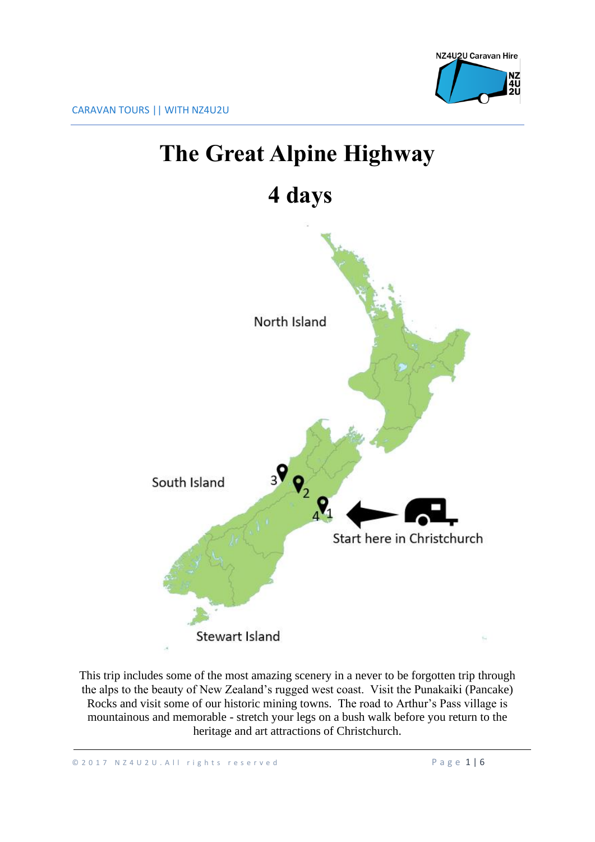

# **The Great Alpine Highway**

## **4 days**



This trip includes some of the most amazing scenery in a never to be forgotten trip through the alps to the beauty of New Zealand's rugged west coast. Visit the Punakaiki (Pancake) Rocks and visit some of our historic mining towns. The road to Arthur's Pass village is mountainous and memorable - stretch your legs on a bush walk before you return to the heritage and art attractions of Christchurch.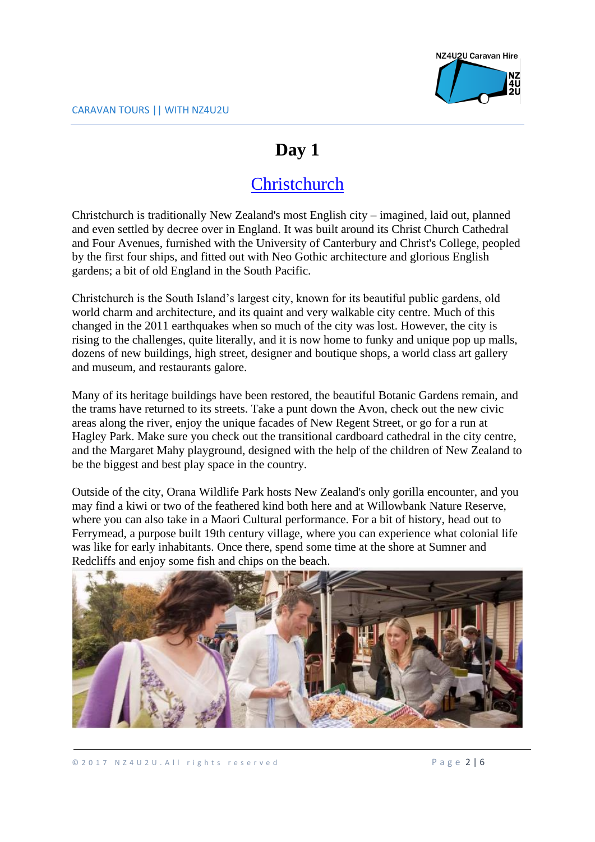

### **Day 1**

### **[Christchurch](https://www.google.co.nz/maps/place/Invercargill/@-46.4309941,168.3059633,12z/data=!3m1!4b1!4m5!3m4!1s0xa9d2c494ac1469d7:0xa00ef88e796a420!8m2!3d-46.4131866!4d168.3537731)**

Christchurch is traditionally New Zealand's most English city – imagined, laid out, planned and even settled by decree over in England. It was built around its Christ Church Cathedral and Four Avenues, furnished with the University of Canterbury and Christ's College, peopled by the first four ships, and fitted out with Neo Gothic architecture and glorious English gardens; a bit of old England in the South Pacific.

Christchurch is the South Island's largest city, known for its beautiful public gardens, old world charm and architecture, and its quaint and very walkable city centre. Much of this changed in the 2011 earthquakes when so much of the city was lost. However, the city is rising to the challenges, quite literally, and it is now home to funky and unique pop up malls, dozens of new buildings, high street, designer and boutique shops, a world class art gallery and museum, and restaurants galore.

Many of its heritage buildings have been restored, the beautiful Botanic Gardens remain, and the trams have returned to its streets. Take a punt down the Avon, check out the new civic areas along the river, enjoy the unique facades of New Regent Street, or go for a run at Hagley Park. Make sure you check out the transitional cardboard cathedral in the city centre, and the Margaret Mahy playground, designed with the help of the children of New Zealand to be the biggest and best play space in the country.

Outside of the city, Orana Wildlife Park hosts New Zealand's only gorilla encounter, and you may find a kiwi or two of the feathered kind both here and at Willowbank Nature Reserve, where you can also take in a Maori Cultural performance. For a bit of history, head out to Ferrymead, a purpose built 19th century village, where you can experience what colonial life was like for early inhabitants. Once there, spend some time at the shore at Sumner and Redcliffs and enjoy some fish and chips on the beach.

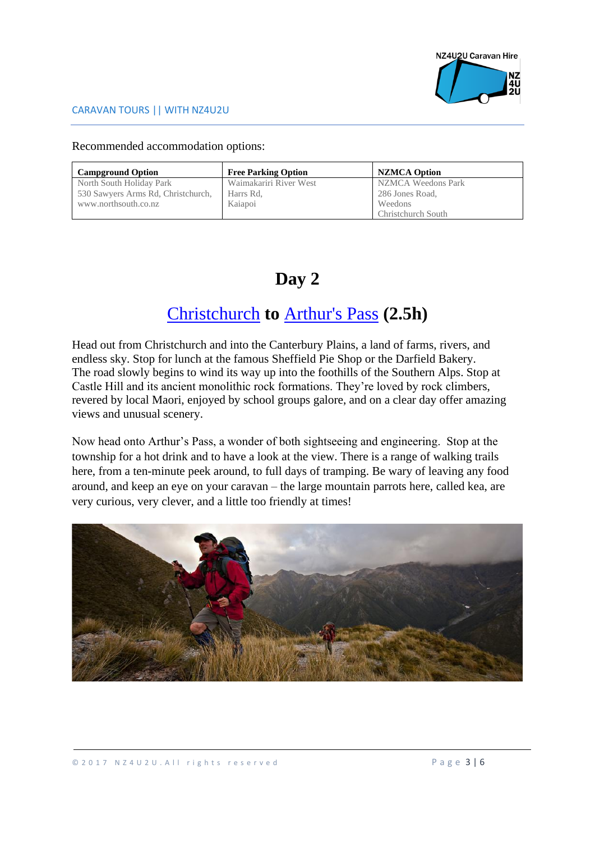

Recommended accommodation options:

| <b>Campground Option</b>           | <b>Free Parking Option</b> | <b>NZMCA Option</b> |
|------------------------------------|----------------------------|---------------------|
| North South Holiday Park           | Waimakariri River West     | NZMCA Weedons Park  |
| 530 Sawyers Arms Rd, Christchurch, | Harrs Rd,                  | 286 Jones Road,     |
| www.northsouth.co.nz               | Kaiapoi                    | Weedons             |
|                                    |                            | Christchurch South  |

### **Day 2**

### [Christchurch](https://www.google.co.nz/maps/place/Invercargill/@-46.4309941,168.3059633,12z/data=!3m1!4b1!4m5!3m4!1s0xa9d2c494ac1469d7:0xa00ef88e796a420!8m2!3d-46.4131866!4d168.3537731) **to** [Arthur's Pass](https://www.google.co.nz/maps/place/Arthur) **(2.5h)**

Head out from Christchurch and into the Canterbury Plains, a land of farms, rivers, and endless sky. Stop for lunch at the famous Sheffield Pie Shop or the Darfield Bakery. The road slowly begins to wind its way up into the foothills of the Southern Alps. Stop at Castle Hill and its ancient monolithic rock formations. They're loved by rock climbers, revered by local Maori, enjoyed by school groups galore, and on a clear day offer amazing views and unusual scenery.

Now head onto Arthur's Pass, a wonder of both sightseeing and engineering. Stop at the township for a hot drink and to have a look at the view. There is a range of walking trails here, from a ten-minute peek around, to full days of tramping. Be wary of leaving any food around, and keep an eye on your caravan – the large mountain parrots here, called kea, are very curious, very clever, and a little too friendly at times!

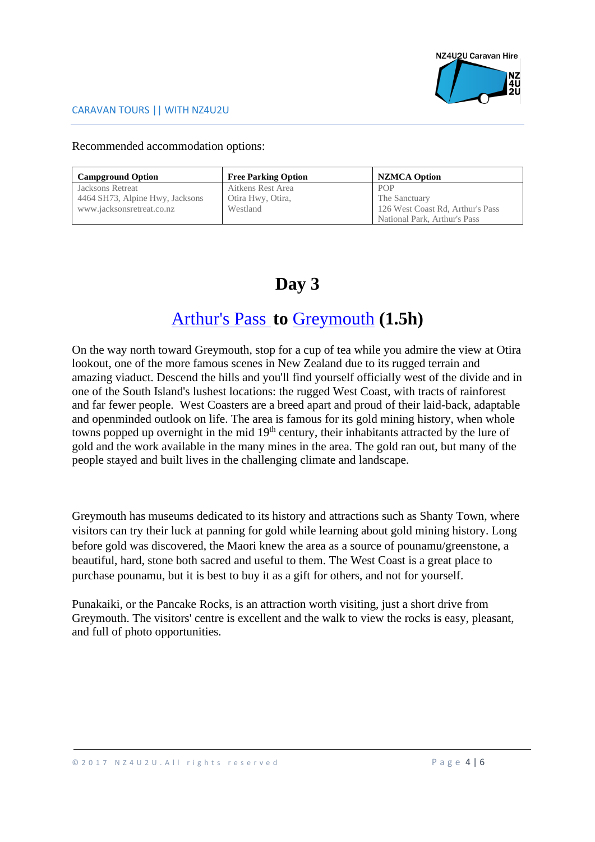

Recommended accommodation options:

| <b>Campground Option</b>        | <b>Free Parking Option</b> | <b>NZMCA Option</b>              |
|---------------------------------|----------------------------|----------------------------------|
| <b>Jacksons Retreat</b>         | Aitkens Rest Area          | <b>POP</b>                       |
| 4464 SH73, Alpine Hwy, Jacksons | Otira Hwy, Otira,          | The Sanctuary                    |
| www.jacksonsretreat.co.nz       | Westland                   | 126 West Coast Rd, Arthur's Pass |
|                                 |                            | National Park, Arthur's Pass     |

### **Day 3**

### [Arthur's Pass](https://www.google.co.nz/maps/place/Arthur) **to** [Greymouth](https://www.google.co.nz/maps/place/Greymouth/@-42.4920642,171.1071797,12z/data=!3m1!4b1!4m5!3m4!1s0x6d2f3fd94dd51053:0x500ef86847972a0!8m2!3d-42.4503925!4d171.2107623) **(1.5h)**

On the way north toward Greymouth, stop for a cup of tea while you admire the view at Otira lookout, one of the more famous scenes in New Zealand due to its rugged terrain and amazing viaduct. Descend the hills and you'll find yourself officially west of the divide and in one of the South Island's lushest locations: the rugged West Coast, with tracts of rainforest and far fewer people. West Coasters are a breed apart and proud of their laid-back, adaptable and openminded outlook on life. The area is famous for its gold mining history, when whole towns popped up overnight in the mid 19<sup>th</sup> century, their inhabitants attracted by the lure of gold and the work available in the many mines in the area. The gold ran out, but many of the people stayed and built lives in the challenging climate and landscape.

Greymouth has museums dedicated to its history and attractions such as Shanty Town, where visitors can try their luck at panning for gold while learning about gold mining history. Long before gold was discovered, the Maori knew the area as a source of pounamu/greenstone, a beautiful, hard, stone both sacred and useful to them. The West Coast is a great place to purchase pounamu, but it is best to buy it as a gift for others, and not for yourself.

Punakaiki, or the Pancake Rocks, is an attraction worth visiting, just a short drive from Greymouth. The visitors' centre is excellent and the walk to view the rocks is easy, pleasant, and full of photo opportunities.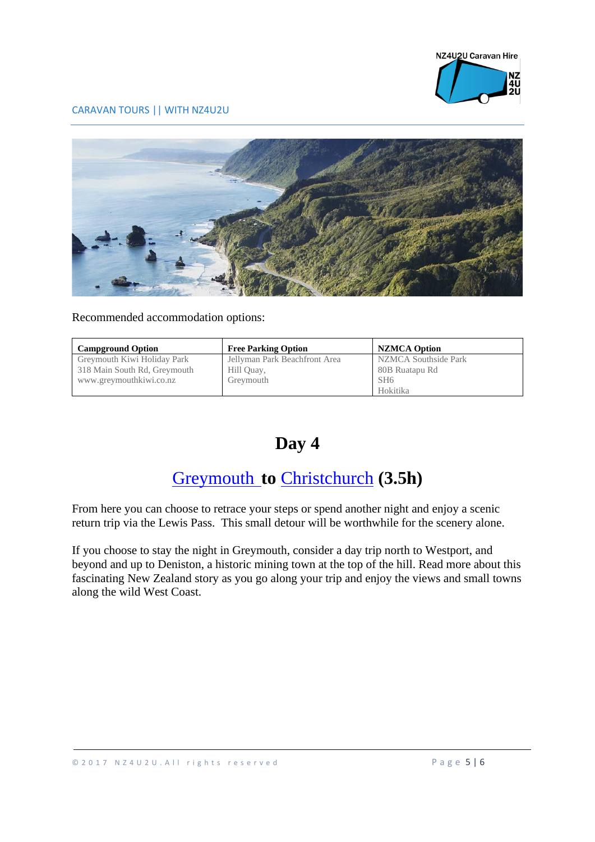

#### Recommended accommodation options:

| <b>Campground Option</b>     | <b>Free Parking Option</b>    | <b>NZMCA Option</b>  |
|------------------------------|-------------------------------|----------------------|
| Greymouth Kiwi Holiday Park  | Jellyman Park Beachfront Area | NZMCA Southside Park |
| 318 Main South Rd, Greymouth | Hill Quay,                    | 80B Ruatapu Rd       |
| www.greymouthkiwi.co.nz      | Greymouth                     | SH <sub>6</sub>      |
|                              |                               | Hokitika             |

### **Day 4**

#### [Greymouth](https://www.google.co.nz/maps/place/Greymouth/@-42.4920642,171.1071797,12z/data=!3m1!4b1!4m5!3m4!1s0x6d2f3fd94dd51053:0x500ef86847972a0!8m2!3d-42.4503925!4d171.2107623) **to** [Christchurch](https://www.google.co.nz/maps/place/Invercargill/@-46.4309941,168.3059633,12z/data=!3m1!4b1!4m5!3m4!1s0xa9d2c494ac1469d7:0xa00ef88e796a420!8m2!3d-46.4131866!4d168.3537731) **(3.5h)**

From here you can choose to retrace your steps or spend another night and enjoy a scenic return trip via the Lewis Pass. This small detour will be worthwhile for the scenery alone.

If you choose to stay the night in Greymouth, consider a day trip north to Westport, and beyond and up to Deniston, a historic mining town at the top of the hill. Read more about this fascinating New Zealand story as you go along your trip and enjoy the views and small towns along the wild West Coast.